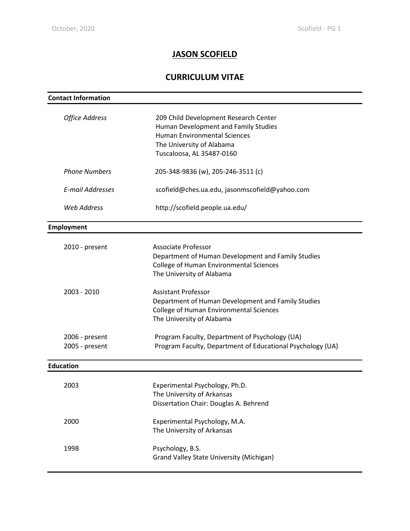# **JASON SCOFIELD**

# **CURRICULUM VITAE**

| <b>Contact Information</b>       |                                                                                                                                                                                |  |  |
|----------------------------------|--------------------------------------------------------------------------------------------------------------------------------------------------------------------------------|--|--|
| <b>Office Address</b>            | 209 Child Development Research Center<br>Human Development and Family Studies<br><b>Human Environmental Sciences</b><br>The University of Alabama<br>Tuscaloosa, AL 35487-0160 |  |  |
| <b>Phone Numbers</b>             | 205-348-9836 (w), 205-246-3511 (c)                                                                                                                                             |  |  |
| <b>E-mail Addresses</b>          | scofield@ches.ua.edu, jasonmscofield@yahoo.com                                                                                                                                 |  |  |
| <b>Web Address</b>               | http://scofield.people.ua.edu/                                                                                                                                                 |  |  |
| Employment                       |                                                                                                                                                                                |  |  |
| 2010 - present                   | Associate Professor<br>Department of Human Development and Family Studies<br><b>College of Human Environmental Sciences</b><br>The University of Alabama                       |  |  |
| 2003 - 2010                      | <b>Assistant Professor</b><br>Department of Human Development and Family Studies<br><b>College of Human Environmental Sciences</b><br>The University of Alabama                |  |  |
| 2006 - present<br>2005 - present | Program Faculty, Department of Psychology (UA)<br>Program Faculty, Department of Educational Psychology (UA)                                                                   |  |  |
| <b>Education</b>                 |                                                                                                                                                                                |  |  |
| 2003                             | Experimental Psychology, Ph.D.<br>The University of Arkansas<br>Dissertation Chair: Douglas A. Behrend                                                                         |  |  |
| 2000                             | Experimental Psychology, M.A.<br>The University of Arkansas                                                                                                                    |  |  |
| 1998                             | Psychology, B.S.<br><b>Grand Valley State University (Michigan)</b>                                                                                                            |  |  |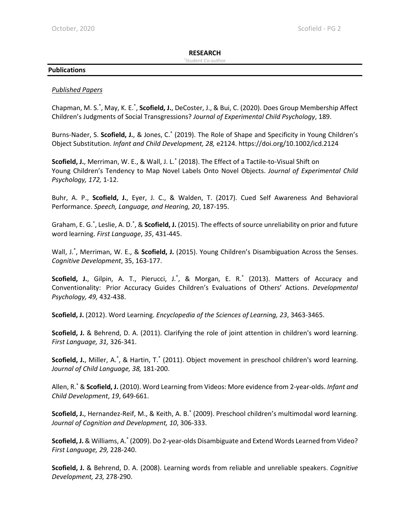## **RESEARCH**

#### \*Student Co-author

## **Publications**

## *Published Papers*

Chapman, M. S.<sup>\*</sup>, May, K. E.<sup>\*</sup>, **Scofield, J.**, DeCoster, J., & Bui, C. (2020). Does Group Membership Affect Children's Judgments of Social Transgressions? *Journal of Experimental Child Psychology*, 189.

Burns-Nader, S. **Scofield, J.**, & Jones, C.\* (2019). The Role of Shape and Specificity in Young Children's Object Substitution. *Infant and Child Development, 28,* e2124. https://doi.org/10.1002/icd.2124

**Scofield, J.**, Merriman, W. E., & Wall, J. L.\* (2018). The Effect of a Tactile-to-Visual Shift on Young Children's Tendency to Map Novel Labels Onto Novel Objects. *Journal of Experimental Child Psychology, 172,* 1-12.

Buhr, A. P., **Scofield, J.**, Eyer, J. C., & Walden, T. (2017). Cued Self Awareness And Behavioral Performance. *Speech, Language, and Hearing, 20*, 187-195.

Graham, E. G.<sup>\*</sup>, Leslie, A. D.<sup>\*</sup>, & **Scofield, J.** (2015). The effects of source unreliability on prior and future word learning. *First Language*, *35*, 431-445.

Wall, J.\* , Merriman, W. E., & **Scofield, J.** (2015). Young Children's Disambiguation Across the Senses. *Cognitive Development*, 35, 163-177.

Scofield, J., Gilpin, A. T., Pierucci, J.<sup>\*</sup>, & Morgan, E. R.<sup>\*</sup> (2013). Matters of Accuracy and Conventionality: Prior Accuracy Guides Children's Evaluations of Others' Actions. *Developmental Psychology, 49,* 432-438.

**Scofield, J.** (2012). Word Learning. *Encyclopedia of the Sciences of Learning, 23*, 3463-3465.

**Scofield, J.** & Behrend, D. A. (2011). Clarifying the role of joint attention in children's word learning. *First Language, 31,* 326-341.

Scofield, J., Miller, A.<sup>\*</sup>, & Hartin, T.<sup>\*</sup> (2011). Object movement in preschool children's word learning. *Journal of Child Language, 38,* 181-200.

Allen, R.\* & **Scofield, J.** (2010). Word Learning from Videos: More evidence from 2-year-olds. *Infant and Child Development*, *19*, 649-661.

**Scofield, J.**, Hernandez-Reif, M., & Keith, A. B.\* (2009). Preschool children's multimodal word learning. *Journal of Cognition and Development, 10*, 306-333.

**Scofield, J.** & Williams, A.\* (2009). Do 2-year-olds Disambiguate and Extend Words Learned from Video? *First Language, 29,* 228-240.

**Scofield, J.** & Behrend, D. A. (2008). Learning words from reliable and unreliable speakers. *Cognitive Development, 23,* 278-290.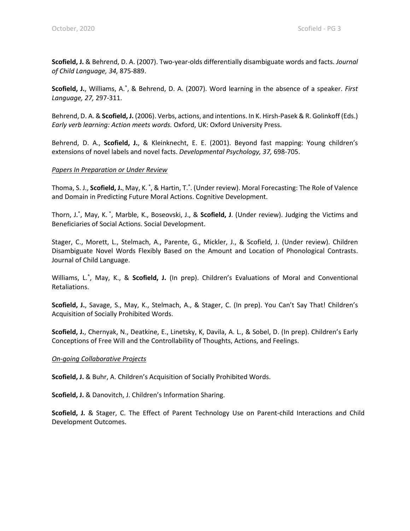**Scofield, J.** & Behrend, D. A. (2007). Two-year-olds differentially disambiguate words and facts. *Journal of Child Language, 34,* 875-889.

**Scofield, J.**, Williams, A.\* , & Behrend, D. A. (2007). Word learning in the absence of a speaker. *First Language, 27,* 297-311.

Behrend, D. A. & **Scofield, J.** (2006). Verbs, actions, and intentions. In K. Hirsh-Pasek & R. Golinkoff (Eds.) *Early verb learning: Action meets words.* Oxford, UK: Oxford University Press.

Behrend, D. A., **Scofield, J.**, & Kleinknecht, E. E. (2001). Beyond fast mapping: Young children's extensions of novel labels and novel facts. *Developmental Psychology, 37,* 698-705.

#### *Papers In Preparation or Under Review*

Thoma, S. J., **Scofield, J.**, May, K.<sup>\*</sup>, & Hartin, T.<sup>\*</sup>. (Under review). Moral Forecasting: The Role of Valence and Domain in Predicting Future Moral Actions. Cognitive Development.

Thorn, J.\*, May, K.\*, Marble, K., Boseovski, J., & Scofield, J. (Under review). Judging the Victims and Beneficiaries of Social Actions. Social Development.

Stager, C., Morett, L., Stelmach, A., Parente, G., Mickler, J., & Scofield, J. (Under review). Children Disambiguate Novel Words Flexibly Based on the Amount and Location of Phonological Contrasts. Journal of Child Language.

Williams, L.<sup>\*</sup>, May, K., & Scofield, J. (In prep). Children's Evaluations of Moral and Conventional Retaliations.

**Scofield, J.**, Savage, S., May, K., Stelmach, A., & Stager, C. (In prep). You Can't Say That! Children's Acquisition of Socially Prohibited Words.

**Scofield, J.**, Chernyak, N., Deatkine, E., Linetsky, K, Davila, A. L., & Sobel, D. (In prep). Children's Early Conceptions of Free Will and the Controllability of Thoughts, Actions, and Feelings.

#### *On-going Collaborative Projects*

**Scofield, J.** & Buhr, A. Children's Acquisition of Socially Prohibited Words.

**Scofield, J.** & Danovitch, J. Children's Information Sharing.

**Scofield, J.** & Stager, C. The Effect of Parent Technology Use on Parent-child Interactions and Child Development Outcomes.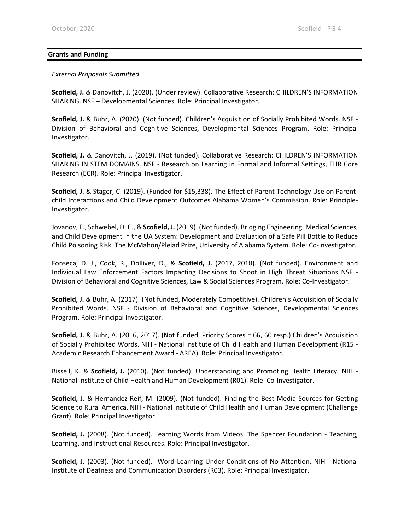#### **Grants and Funding**

#### *External Proposals Submitted*

**Scofield, J.** & Danovitch, J. (2020). (Under review). Collaborative Research: CHILDREN'S INFORMATION SHARING. NSF – Developmental Sciences. Role: Principal Investigator.

**Scofield, J.** & Buhr, A. (2020). (Not funded). Children's Acquisition of Socially Prohibited Words. NSF - Division of Behavioral and Cognitive Sciences, Developmental Sciences Program. Role: Principal Investigator.

**Scofield, J.** & Danovitch, J. (2019). (Not funded). Collaborative Research: CHILDREN'S INFORMATION SHARING IN STEM DOMAINS. NSF - Research on Learning in Formal and Informal Settings, EHR Core Research (ECR). Role: Principal Investigator.

**Scofield, J.** & Stager, C. (2019). (Funded for \$15,338). The Effect of Parent Technology Use on Parentchild Interactions and Child Development Outcomes Alabama Women's Commission. Role: Principle-Investigator.

Jovanov, E., Schwebel, D. C., & **Scofield, J.** (2019). (Not funded). Bridging Engineering, Medical Sciences, and Child Development in the UA System: Development and Evaluation of a Safe Pill Bottle to Reduce Child Poisoning Risk. The McMahon/Pleiad Prize, University of Alabama System. Role: Co-Investigator.

Fonseca, D. J., Cook, R., Dolliver, D., & **Scofield, J.** (2017, 2018). (Not funded). Environment and Individual Law Enforcement Factors Impacting Decisions to Shoot in High Threat Situations NSF - Division of Behavioral and Cognitive Sciences, Law & Social Sciences Program. Role: Co-Investigator.

**Scofield, J.** & Buhr, A. (2017). (Not funded, Moderately Competitive). Children's Acquisition of Socially Prohibited Words. NSF - Division of Behavioral and Cognitive Sciences, Developmental Sciences Program. Role: Principal Investigator.

**Scofield, J.** & Buhr, A. (2016, 2017). (Not funded, Priority Scores = 66, 60 resp.) Children's Acquisition of Socially Prohibited Words. NIH - National Institute of Child Health and Human Development (R15 - Academic Research Enhancement Award - AREA). Role: Principal Investigator.

Bissell, K. & **Scofield, J.** (2010). (Not funded). Understanding and Promoting Health Literacy. NIH - National Institute of Child Health and Human Development (R01). Role: Co-Investigator.

**Scofield, J.** & Hernandez-Reif, M. (2009). (Not funded). Finding the Best Media Sources for Getting Science to Rural America. NIH - National Institute of Child Health and Human Development (Challenge Grant). Role: Principal Investigator.

**Scofield, J.** (2008). (Not funded). Learning Words from Videos. The Spencer Foundation - Teaching, Learning, and Instructional Resources. Role: Principal Investigator.

**Scofield, J.** (2003). (Not funded). Word Learning Under Conditions of No Attention. NIH - National Institute of Deafness and Communication Disorders (R03). Role: Principal Investigator.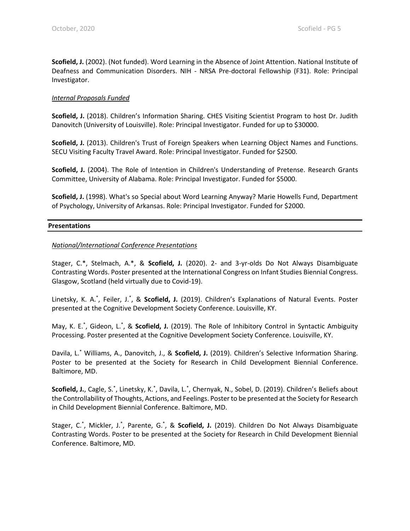**Scofield, J.** (2002). (Not funded). Word Learning in the Absence of Joint Attention. National Institute of Deafness and Communication Disorders. NIH - NRSA Pre-doctoral Fellowship (F31). Role: Principal Investigator.

#### *Internal Proposals Funded*

**Scofield, J.** (2018). Children's Information Sharing. CHES Visiting Scientist Program to host Dr. Judith Danovitch (University of Louisville). Role: Principal Investigator. Funded for up to \$30000.

**Scofield, J.** (2013). Children's Trust of Foreign Speakers when Learning Object Names and Functions. SECU Visiting Faculty Travel Award. Role: Principal Investigator. Funded for \$2500.

**Scofield, J.** (2004). The Role of Intention in Children's Understanding of Pretense. Research Grants Committee, University of Alabama. Role: Principal Investigator. Funded for \$5000.

**Scofield, J.** (1998). What's so Special about Word Learning Anyway? Marie Howells Fund, Department of Psychology, University of Arkansas. Role: Principal Investigator. Funded for \$2000.

#### **Presentations**

#### *National/International Conference Presentations*

Stager, C.\*, Stelmach, A.\*, & **Scofield, J.** (2020). 2- and 3-yr-olds Do Not Always Disambiguate Contrasting Words. Poster presented at the International Congress on Infant Studies Biennial Congress. Glasgow, Scotland (held virtually due to Covid-19).

Linetsky, K. A.<sup>\*</sup>, Feiler, J.<sup>\*</sup>, & Scofield, J. (2019). Children's Explanations of Natural Events. Poster presented at the Cognitive Development Society Conference. Louisville, KY.

May, K. E.<sup>\*</sup>, Gideon, L.<sup>\*</sup>, & Scofield, J. (2019). The Role of Inhibitory Control in Syntactic Ambiguity Processing. Poster presented at the Cognitive Development Society Conference. Louisville, KY.

Davila, L.\* Williams, A., Danovitch, J., & **Scofield, J.** (2019). Children's Selective Information Sharing. Poster to be presented at the Society for Research in Child Development Biennial Conference. Baltimore, MD.

Scofield, J., Cagle, S.\*, Linetsky, K.\*, Davila, L.\*, Chernyak, N., Sobel, D. (2019). Children's Beliefs about the Controllability of Thoughts, Actions, and Feelings. Poster to be presented at the Society for Research in Child Development Biennial Conference. Baltimore, MD.

Stager, C.<sup>\*</sup>, Mickler, J.<sup>\*</sup>, Parente, G.<sup>\*</sup>, & Scofield, J. (2019). Children Do Not Always Disambiguate Contrasting Words. Poster to be presented at the Society for Research in Child Development Biennial Conference. Baltimore, MD.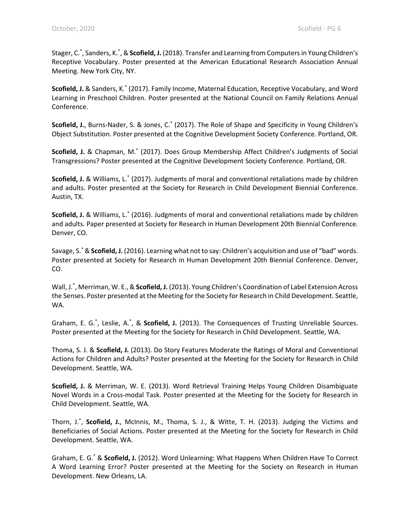Stager, C.\* , Sanders, K.\* , &**Scofield, J.** (2018). Transfer and Learning from Computers in Young Children's Receptive Vocabulary. Poster presented at the American Educational Research Association Annual Meeting. New York City, NY.

**Scofield, J.** & Sanders, K.\* (2017). Family Income, Maternal Education, Receptive Vocabulary, and Word Learning in Preschool Children. Poster presented at the National Council on Family Relations Annual Conference.

**Scofield, J.**, Burns-Nader, S. & Jones, C.\* (2017). The Role of Shape and Specificity in Young Children's Object Substitution. Poster presented at the Cognitive Development Society Conference. Portland, OR.

**Scofield, J.** & Chapman, M.\* (2017). Does Group Membership Affect Children's Judgments of Social Transgressions? Poster presented at the Cognitive Development Society Conference. Portland, OR.

**Scofield, J.** & Williams, L.\* (2017). Judgments of moral and conventional retaliations made by children and adults. Poster presented at the Society for Research in Child Development Biennial Conference. Austin, TX.

**Scofield, J.** & Williams, L.\* (2016). Judgments of moral and conventional retaliations made by children and adults. Paper presented at Society for Research in Human Development 20th Biennial Conference. Denver, CO.

Savage, S.\* & **Scofield, J.** (2016). Learning what not to say: Children's acquisition and use of "bad" words. Poster presented at Society for Research in Human Development 20th Biennial Conference. Denver, CO.

Wall, J.\* , Merriman, W. E., & **Scofield, J.** (2013). Young Children's Coordination of Label Extension Across the Senses. Poster presented at the Meeting for the Society for Research in Child Development. Seattle, WA.

Graham, E. G.<sup>\*</sup>, Leslie, A.<sup>\*</sup>, & Scofield, J. (2013). The Consequences of Trusting Unreliable Sources. Poster presented at the Meeting for the Society for Research in Child Development. Seattle, WA.

Thoma, S. J. & **Scofield, J.** (2013). Do Story Features Moderate the Ratings of Moral and Conventional Actions for Children and Adults? Poster presented at the Meeting for the Society for Research in Child Development. Seattle, WA.

**Scofield, J.** & Merriman, W. E. (2013). Word Retrieval Training Helps Young Children Disambiguate Novel Words in a Cross-modal Task. Poster presented at the Meeting for the Society for Research in Child Development. Seattle, WA.

Thorn, J.\* , **Scofield, J.**, McInnis, M., Thoma, S. J., & Witte, T. H. (2013). Judging the Victims and Beneficiaries of Social Actions. Poster presented at the Meeting for the Society for Research in Child Development. Seattle, WA.

Graham, E. G.\* & **Scofield, J.** (2012). Word Unlearning: What Happens When Children Have To Correct A Word Learning Error? Poster presented at the Meeting for the Society on Research in Human Development. New Orleans, LA.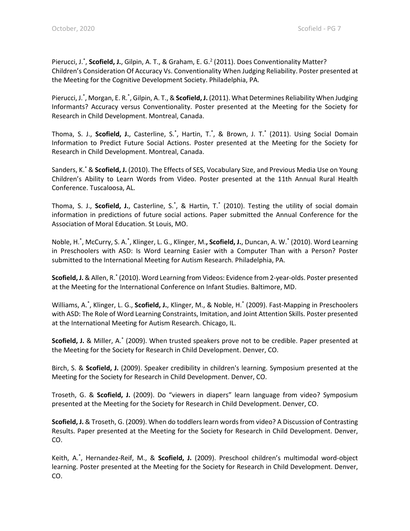Pierucci, J.<sup>\*</sup>, Scofield, J., Gilpin, A. T., & Graham, E. G.<sup>2</sup> (2011). Does Conventionality Matter? Children's Consideration Of Accuracy Vs. Conventionality When Judging Reliability. Poster presented at the Meeting for the Cognitive Development Society. Philadelphia, PA.

Pierucci, J.<sup>\*</sup>, Morgan, E. R.<sup>\*</sup>, Gilpin, A. T., & Scofield, J. (2011). What Determines Reliability When Judging Informants? Accuracy versus Conventionality. Poster presented at the Meeting for the Society for Research in Child Development. Montreal, Canada.

Thoma, S. J., Scofield, J., Casterline, S.<sup>\*</sup>, Hartin, T.<sup>\*</sup>, & Brown, J. T.<sup>\*</sup> (2011). Using Social Domain Information to Predict Future Social Actions. Poster presented at the Meeting for the Society for Research in Child Development. Montreal, Canada.

Sanders, K.\* & **Scofield, J.** (2010). The Effects of SES, Vocabulary Size, and Previous Media Use on Young Children's Ability to Learn Words from Video. Poster presented at the 11th Annual Rural Health Conference. Tuscaloosa, AL.

Thoma, S. J., **Scofield, J.**, Casterline, S.\* , & Hartin, T.\* (2010). Testing the utility of social domain information in predictions of future social actions. Paper submitted the Annual Conference for the Association of Moral Education. St Louis, MO.

Noble, H.<sup>\*</sup>, McCurry, S. A.<sup>\*</sup>, Klinger, L. G., Klinger, M.**, Scofield, J.**, Duncan, A. W.<sup>\*</sup> (2010). Word Learning in Preschoolers with ASD: Is Word Learning Easier with a Computer Than with a Person? Poster submitted to the International Meeting for Autism Research. Philadelphia, PA.

**Scofield, J.** & Allen, R.\* (2010). Word Learning from Videos: Evidence from 2-year-olds. Poster presented at the Meeting for the International Conference on Infant Studies. Baltimore, MD.

Williams, A.\* , Klinger, L. G., **Scofield, J.**, Klinger, M., & Noble, H.\* (2009). Fast-Mapping in Preschoolers with ASD: The Role of Word Learning Constraints, Imitation, and Joint Attention Skills. Poster presented at the International Meeting for Autism Research. Chicago, IL.

**Scofield, J.** & Miller, A.\* (2009). When trusted speakers prove not to be credible. Paper presented at the Meeting for the Society for Research in Child Development. Denver, CO.

Birch, S. & **Scofield, J.** (2009). Speaker credibility in children's learning. Symposium presented at the Meeting for the Society for Research in Child Development. Denver, CO.

Troseth, G. & **Scofield, J.** (2009). Do "viewers in diapers" learn language from video? Symposium presented at the Meeting for the Society for Research in Child Development. Denver, CO.

**Scofield, J.** & Troseth, G. (2009). When do toddlers learn words from video? A Discussion of Contrasting Results. Paper presented at the Meeting for the Society for Research in Child Development. Denver, CO.

Keith, A.\* , Hernandez-Reif, M., & **Scofield, J.** (2009). Preschool children's multimodal word-object learning. Poster presented at the Meeting for the Society for Research in Child Development. Denver, CO.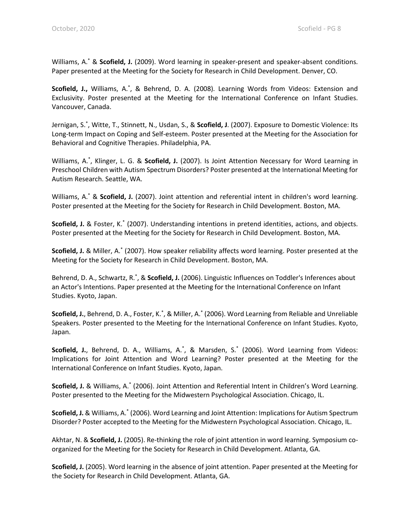Williams, A.\* & **Scofield, J.** (2009). Word learning in speaker-present and speaker-absent conditions. Paper presented at the Meeting for the Society for Research in Child Development. Denver, CO.

Scofield, J., Williams, A.<sup>\*</sup>, & Behrend, D. A. (2008). Learning Words from Videos: Extension and Exclusivity. Poster presented at the Meeting for the International Conference on Infant Studies. Vancouver, Canada.

Jernigan, S.\* , Witte, T., Stinnett, N., Usdan, S., & **Scofield, J**. (2007). Exposure to Domestic Violence: Its Long-term Impact on Coping and Self-esteem. Poster presented at the Meeting for the Association for Behavioral and Cognitive Therapies. Philadelphia, PA.

Williams, A.\* , Klinger, L. G. & **Scofield, J.** (2007). Is Joint Attention Necessary for Word Learning in Preschool Children with Autism Spectrum Disorders? Poster presented at the International Meeting for Autism Research. Seattle, WA.

Williams, A.\* & **Scofield, J.** (2007). Joint attention and referential intent in children's word learning. Poster presented at the Meeting for the Society for Research in Child Development. Boston, MA.

**Scofield, J.** & Foster, K.\* (2007). Understanding intentions in pretend identities, actions, and objects. Poster presented at the Meeting for the Society for Research in Child Development. Boston, MA.

**Scofield, J.** & Miller, A.\* (2007). How speaker reliability affects word learning. Poster presented at the Meeting for the Society for Research in Child Development. Boston, MA.

Behrend, D. A., Schwartz, R.<sup>\*</sup>, & Scofield, J. (2006). Linguistic Influences on Toddler's Inferences about an Actor's Intentions. Paper presented at the Meeting for the International Conference on Infant Studies. Kyoto, Japan.

Scofield, J., Behrend, D. A., Foster, K.<sup>\*</sup>, & Miller, A.<sup>\*</sup> (2006). Word Learning from Reliable and Unreliable Speakers. Poster presented to the Meeting for the International Conference on Infant Studies. Kyoto, Japan.

Scofield, J., Behrend, D. A., Williams, A.<sup>\*</sup>, & Marsden, S.<sup>\*</sup> (2006). Word Learning from Videos: Implications for Joint Attention and Word Learning? Poster presented at the Meeting for the International Conference on Infant Studies. Kyoto, Japan.

**Scofield, J.** & Williams, A.\* (2006). Joint Attention and Referential Intent in Children's Word Learning. Poster presented to the Meeting for the Midwestern Psychological Association. Chicago, IL.

**Scofield, J.** & Williams, A.\* (2006). Word Learning and Joint Attention: Implications for Autism Spectrum Disorder? Poster accepted to the Meeting for the Midwestern Psychological Association. Chicago, IL.

Akhtar, N. & **Scofield, J.** (2005). Re-thinking the role of joint attention in word learning. Symposium coorganized for the Meeting for the Society for Research in Child Development. Atlanta, GA.

**Scofield, J.** (2005). Word learning in the absence of joint attention. Paper presented at the Meeting for the Society for Research in Child Development. Atlanta, GA.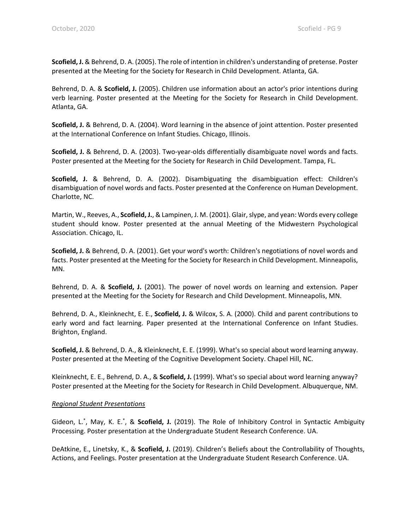**Scofield, J.** & Behrend, D. A. (2005). The role of intention in children's understanding of pretense. Poster presented at the Meeting for the Society for Research in Child Development. Atlanta, GA.

Behrend, D. A. & **Scofield, J.** (2005). Children use information about an actor's prior intentions during verb learning. Poster presented at the Meeting for the Society for Research in Child Development. Atlanta, GA.

**Scofield, J.** & Behrend, D. A. (2004). Word learning in the absence of joint attention. Poster presented at the International Conference on Infant Studies. Chicago, Illinois.

**Scofield, J.** & Behrend, D. A. (2003). Two-year-olds differentially disambiguate novel words and facts. Poster presented at the Meeting for the Society for Research in Child Development. Tampa, FL.

**Scofield, J.** & Behrend, D. A. (2002). Disambiguating the disambiguation effect: Children's disambiguation of novel words and facts. Poster presented at the Conference on Human Development. Charlotte, NC.

Martin, W., Reeves, A., **Scofield, J.**, & Lampinen, J. M. (2001). Glair, slype, and yean: Words every college student should know. Poster presented at the annual Meeting of the Midwestern Psychological Association. Chicago, IL.

**Scofield, J.** & Behrend, D. A. (2001). Get your word's worth: Children's negotiations of novel words and facts. Poster presented at the Meeting for the Society for Research in Child Development. Minneapolis, MN.

Behrend, D. A. & **Scofield, J.** (2001). The power of novel words on learning and extension. Paper presented at the Meeting for the Society for Research and Child Development. Minneapolis, MN.

Behrend, D. A., Kleinknecht, E. E., **Scofield, J.** & Wilcox, S. A. (2000). Child and parent contributions to early word and fact learning. Paper presented at the International Conference on Infant Studies. Brighton, England.

**Scofield, J.** & Behrend, D. A., & Kleinknecht, E. E. (1999). What's so special about word learning anyway. Poster presented at the Meeting of the Cognitive Development Society. Chapel Hill, NC.

Kleinknecht, E. E., Behrend, D. A., & **Scofield, J.** (1999). What's so special about word learning anyway? Poster presented at the Meeting for the Society for Research in Child Development. Albuquerque, NM.

## *Regional Student Presentations*

Gideon, L.<sup>\*</sup>, May, K. E.<sup>\*</sup>, & Scofield, J. (2019). The Role of Inhibitory Control in Syntactic Ambiguity Processing. Poster presentation at the Undergraduate Student Research Conference. UA.

DeAtkine, E., Linetsky, K., & **Scofield, J.** (2019). Children's Beliefs about the Controllability of Thoughts, Actions, and Feelings. Poster presentation at the Undergraduate Student Research Conference. UA.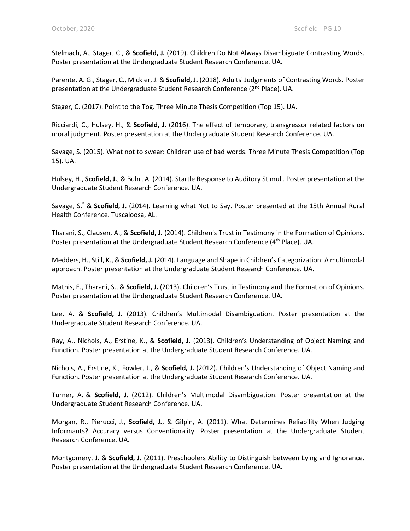Stelmach, A., Stager, C., & **Scofield, J.** (2019). Children Do Not Always Disambiguate Contrasting Words. Poster presentation at the Undergraduate Student Research Conference. UA.

Parente, A. G., Stager, C., Mickler, J. & **Scofield, J.** (2018). Adults' Judgments of Contrasting Words. Poster presentation at the Undergraduate Student Research Conference (2<sup>nd</sup> Place). UA.

Stager, C. (2017). Point to the Tog. Three Minute Thesis Competition (Top 15). UA.

Ricciardi, C., Hulsey, H., & **Scofield, J.** (2016). The effect of temporary, transgressor related factors on moral judgment. Poster presentation at the Undergraduate Student Research Conference. UA.

Savage, S. (2015). What not to swear: Children use of bad words. Three Minute Thesis Competition (Top 15). UA.

Hulsey, H., **Scofield, J.**, & Buhr, A. (2014). Startle Response to Auditory Stimuli. Poster presentation at the Undergraduate Student Research Conference. UA.

Savage, S.\* & **Scofield, J.** (2014). Learning what Not to Say. Poster presented at the 15th Annual Rural Health Conference. Tuscaloosa, AL.

Tharani, S., Clausen, A., & **Scofield, J.** (2014). Children's Trust in Testimony in the Formation of Opinions. Poster presentation at the Undergraduate Student Research Conference (4<sup>th</sup> Place). UA.

Medders, H., Still, K., & **Scofield, J.** (2014). Language and Shape in Children's Categorization: A multimodal approach. Poster presentation at the Undergraduate Student Research Conference. UA.

Mathis, E., Tharani, S., & **Scofield, J.** (2013). Children's Trust in Testimony and the Formation of Opinions. Poster presentation at the Undergraduate Student Research Conference. UA.

Lee, A. & **Scofield, J.** (2013). Children's Multimodal Disambiguation. Poster presentation at the Undergraduate Student Research Conference. UA.

Ray, A., Nichols, A., Erstine, K., & **Scofield, J.** (2013). Children's Understanding of Object Naming and Function. Poster presentation at the Undergraduate Student Research Conference. UA.

Nichols, A., Erstine, K., Fowler, J., & **Scofield, J.** (2012). Children's Understanding of Object Naming and Function. Poster presentation at the Undergraduate Student Research Conference. UA.

Turner, A. & **Scofield, J.** (2012). Children's Multimodal Disambiguation. Poster presentation at the Undergraduate Student Research Conference. UA.

Morgan, R., Pierucci, J., **Scofield, J.**, & Gilpin, A. (2011). What Determines Reliability When Judging Informants? Accuracy versus Conventionality. Poster presentation at the Undergraduate Student Research Conference. UA.

Montgomery, J. & **Scofield, J.** (2011). Preschoolers Ability to Distinguish between Lying and Ignorance. Poster presentation at the Undergraduate Student Research Conference. UA.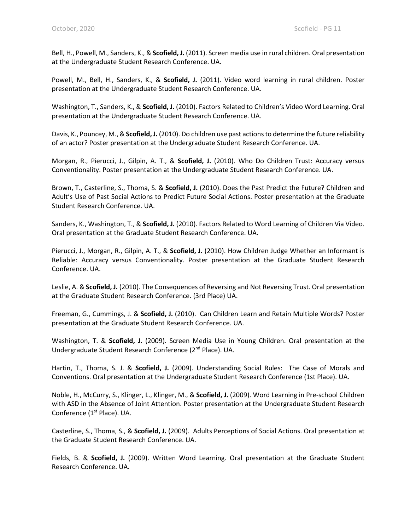Bell, H., Powell, M., Sanders, K., & **Scofield, J.** (2011). Screen media use in rural children. Oral presentation at the Undergraduate Student Research Conference. UA.

Powell, M., Bell, H., Sanders, K., & **Scofield, J.** (2011). Video word learning in rural children. Poster presentation at the Undergraduate Student Research Conference. UA.

Washington, T., Sanders, K., & **Scofield, J.** (2010). Factors Related to Children's Video Word Learning. Oral presentation at the Undergraduate Student Research Conference. UA.

Davis, K., Pouncey, M., & **Scofield, J.** (2010). Do children use past actions to determine the future reliability of an actor? Poster presentation at the Undergraduate Student Research Conference. UA.

Morgan, R., Pierucci, J., Gilpin, A. T., & **Scofield, J.** (2010). Who Do Children Trust: Accuracy versus Conventionality. Poster presentation at the Undergraduate Student Research Conference. UA.

Brown, T., Casterline, S., Thoma, S. & **Scofield, J.** (2010). Does the Past Predict the Future? Children and Adult's Use of Past Social Actions to Predict Future Social Actions. Poster presentation at the Graduate Student Research Conference. UA.

Sanders, K., Washington, T., & **Scofield, J.** (2010). Factors Related to Word Learning of Children Via Video. Oral presentation at the Graduate Student Research Conference. UA.

Pierucci, J., Morgan, R., Gilpin, A. T., & **Scofield, J.** (2010). How Children Judge Whether an Informant is Reliable: Accuracy versus Conventionality. Poster presentation at the Graduate Student Research Conference. UA.

Leslie, A. & **Scofield, J.** (2010). The Consequences of Reversing and Not Reversing Trust. Oral presentation at the Graduate Student Research Conference. (3rd Place) UA.

Freeman, G., Cummings, J. & **Scofield, J.** (2010). Can Children Learn and Retain Multiple Words? Poster presentation at the Graduate Student Research Conference. UA.

Washington, T. & **Scofield, J.** (2009). Screen Media Use in Young Children. Oral presentation at the Undergraduate Student Research Conference (2<sup>nd</sup> Place). UA.

Hartin, T., Thoma, S. J. & **Scofield, J.** (2009). Understanding Social Rules: The Case of Morals and Conventions. Oral presentation at the Undergraduate Student Research Conference (1st Place). UA.

Noble, H., McCurry, S., Klinger, L., Klinger, M., & **Scofield, J.** (2009). Word Learning in Pre-school Children with ASD in the Absence of Joint Attention. Poster presentation at the Undergraduate Student Research Conference (1st Place). UA.

Casterline, S., Thoma, S., & **Scofield, J.** (2009). Adults Perceptions of Social Actions. Oral presentation at the Graduate Student Research Conference. UA.

Fields, B. & **Scofield, J.** (2009). Written Word Learning. Oral presentation at the Graduate Student Research Conference. UA.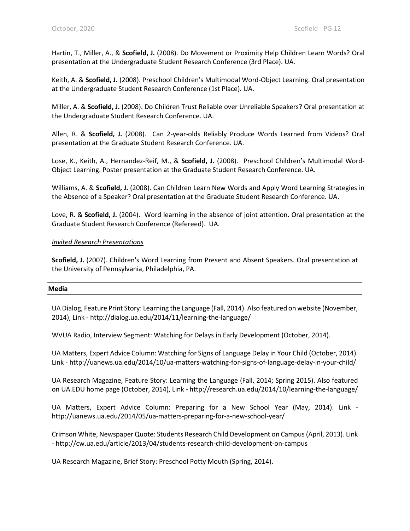Hartin, T., Miller, A., & **Scofield, J.** (2008). Do Movement or Proximity Help Children Learn Words? Oral presentation at the Undergraduate Student Research Conference (3rd Place). UA.

Keith, A. & **Scofield, J.** (2008). Preschool Children's Multimodal Word-Object Learning. Oral presentation at the Undergraduate Student Research Conference (1st Place). UA.

Miller, A. & **Scofield, J.** (2008). Do Children Trust Reliable over Unreliable Speakers? Oral presentation at the Undergraduate Student Research Conference. UA.

Allen, R. & **Scofield, J.** (2008). Can 2-year-olds Reliably Produce Words Learned from Videos? Oral presentation at the Graduate Student Research Conference. UA.

Lose, K., Keith, A., Hernandez-Reif, M., & **Scofield, J.** (2008). Preschool Children's Multimodal Word-Object Learning. Poster presentation at the Graduate Student Research Conference. UA.

Williams, A. & **Scofield, J.** (2008). Can Children Learn New Words and Apply Word Learning Strategies in the Absence of a Speaker? Oral presentation at the Graduate Student Research Conference. UA.

Love, R. & **Scofield, J.** (2004). Word learning in the absence of joint attention. Oral presentation at the Graduate Student Research Conference (Refereed). UA.

#### *Invited Research Presentations*

**Scofield, J.** (2007). Children's Word Learning from Present and Absent Speakers. Oral presentation at the University of Pennsylvania, Philadelphia, PA.

#### **Media**

UA Dialog, Feature Print Story: Learning the Language (Fall, 2014). Also featured on website (November, 2014), Link - http://dialog.ua.edu/2014/11/learning-the-language/

WVUA Radio, Interview Segment: Watching for Delays in Early Development (October, 2014).

UA Matters, Expert Advice Column: Watching for Signs of Language Delay in Your Child (October, 2014). Link - http://uanews.ua.edu/2014/10/ua-matters-watching-for-signs-of-language-delay-in-your-child/

UA Research Magazine, Feature Story: Learning the Language (Fall, 2014; Spring 2015). Also featured on UA.EDU home page (October, 2014), Link - http://research.ua.edu/2014/10/learning-the-language/

UA Matters, Expert Advice Column: Preparing for a New School Year (May, 2014). Link http://uanews.ua.edu/2014/05/ua-matters-preparing-for-a-new-school-year/

Crimson White, Newspaper Quote: Students Research Child Development on Campus (April, 2013). Link - http://cw.ua.edu/article/2013/04/students-research-child-development-on-campus

UA Research Magazine, Brief Story: Preschool Potty Mouth (Spring, 2014).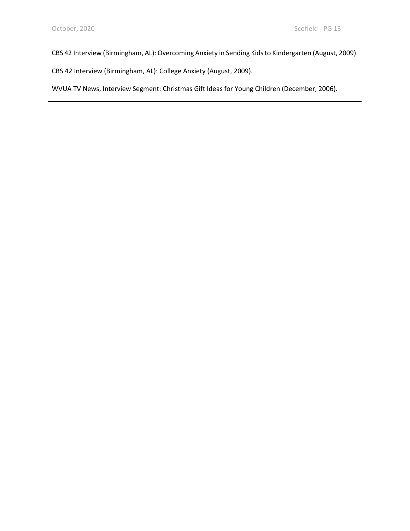CBS 42 Interview (Birmingham, AL): Overcoming Anxiety in Sending Kids to Kindergarten (August, 2009).

CBS 42 Interview (Birmingham, AL): College Anxiety (August, 2009).

WVUA TV News, Interview Segment: Christmas Gift Ideas for Young Children (December, 2006).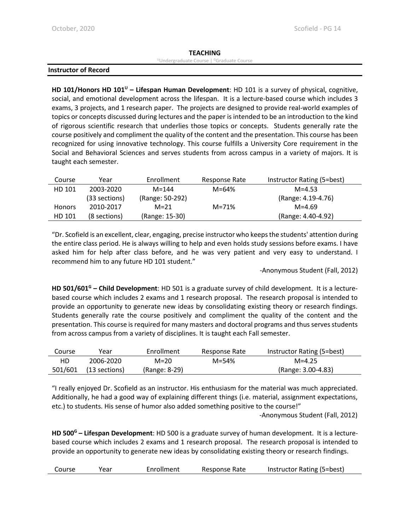#### **TEACHING**

#### Undergraduate Course | Graduate Course

#### **Instructor of Record**

**HD 101/Honors HD 101U – Lifespan Human Development**: HD 101 is a survey of physical, cognitive, social, and emotional development across the lifespan. It is a lecture-based course which includes 3 exams, 3 projects, and 1 research paper. The projects are designed to provide real-world examples of topics or concepts discussed during lectures and the paper is intended to be an introduction to the kind of rigorous scientific research that underlies those topics or concepts. Students generally rate the course positively and compliment the quality of the content and the presentation. This course has been recognized for using innovative technology. This course fulfills a University Core requirement in the Social and Behavioral Sciences and serves students from across campus in a variety of majors. It is taught each semester.

| Course        | Year          | Enrollment      | Response Rate | Instructor Rating (5=best) |
|---------------|---------------|-----------------|---------------|----------------------------|
| HD 101        | 2003-2020     | $M = 144$       | $M = 64%$     | $M = 4.53$                 |
|               | (33 sections) | (Range: 50-292) |               | (Range: 4.19-4.76)         |
| <b>Honors</b> | 2010-2017     | $M = 21$        | M=71%         | $M = 4.69$                 |
| HD 101        | (8 sections)  | (Range: 15-30)  |               | (Range: 4.40-4.92)         |

"Dr. Scofield is an excellent, clear, engaging, precise instructor who keeps the students' attention during the entire class period. He is always willing to help and even holds study sessions before exams. I have asked him for help after class before, and he was very patient and very easy to understand. I recommend him to any future HD 101 student."

-Anonymous Student (Fall, 2012)

**HD 501/601G – Child Development**: HD 501 is a graduate survey of child development. It is a lecturebased course which includes 2 exams and 1 research proposal. The research proposal is intended to provide an opportunity to generate new ideas by consolidating existing theory or research findings. Students generally rate the course positively and compliment the quality of the content and the presentation. This course is required for many masters and doctoral programs and thus serves students from across campus from a variety of disciplines. It is taught each Fall semester.

| Course  | Year          | Enrollment    | Response Rate | Instructor Rating (5=best) |
|---------|---------------|---------------|---------------|----------------------------|
| HD      | 2006-2020     | $M=20$        | $M = 54%$     | $M = 4.25$                 |
| 501/601 | (13 sections) | (Range: 8-29) |               | (Range: 3.00-4.83)         |

"I really enjoyed Dr. Scofield as an instructor. His enthusiasm for the material was much appreciated. Additionally, he had a good way of explaining different things (i.e. material, assignment expectations, etc.) to students. His sense of humor also added something positive to the course!"

-Anonymous Student (Fall, 2012)

**HD 500G – Lifespan Development**: HD 500 is a graduate survey of human development. It is a lecturebased course which includes 2 exams and 1 research proposal. The research proposal is intended to provide an opportunity to generate new ideas by consolidating existing theory or research findings.

| Course | Year | Enrollment | Response Rate | Instructor Rating (5=best) |
|--------|------|------------|---------------|----------------------------|
|--------|------|------------|---------------|----------------------------|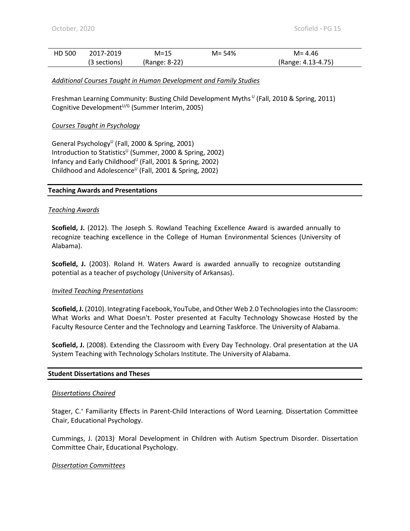| HD 500 | 2017-2019    | $M=15$        | $M = 54%$ | $M = 4.46$         |
|--------|--------------|---------------|-----------|--------------------|
|        | (3 sections) | (Range: 8-22) |           | (Range: 4.13-4.75) |

#### *Additional Courses Taught in Human Development and Family Studies*

Freshman Learning Community: Busting Child Development Myths  $U$  (Fall, 2010 & Spring, 2011) Cognitive Development $U/G$  (Summer Interim, 2005)

#### *Courses Taught in Psychology*

General Psychology<sup>U</sup> (Fall, 2000 & Spring, 2001) Introduction to Statistics<sup>U</sup> (Summer, 2000 & Spring, 2002) Infancy and Early Childhood<sup>U</sup> (Fall, 2001 & Spring, 2002) Childhood and Adolescence<sup>U</sup> (Fall, 2001 & Spring, 2002)

#### **Teaching Awards and Presentations**

#### *Teaching Awards*

**Scofield, J.** (2012). The Joseph S. Rowland Teaching Excellence Award is awarded annually to recognize teaching excellence in the College of Human Environmental Sciences (University of Alabama).

**Scofield, J.** (2003). Roland H. Waters Award is awarded annually to recognize outstanding potential as a teacher of psychology (University of Arkansas).

#### *Invited Teaching Presentations*

**Scofield, J.** (2010). Integrating Facebook, YouTube, and Other Web 2.0 Technologies into the Classroom: What Works and What Doesn't. Poster presented at Faculty Technology Showcase Hosted by the Faculty Resource Center and the Technology and Learning Taskforce. The University of Alabama.

**Scofield, J.** (2008). Extending the Classroom with Every Day Technology. Oral presentation at the UA System Teaching with Technology Scholars Institute. The University of Alabama.

#### **Student Dissertations and Theses**

#### *Dissertations Chaired*

Stager, C.<sup>+</sup> Familiarity Effects in Parent-Child Interactions of Word Learning. Dissertation Committee Chair, Educational Psychology.

Cummings, J. (2013). Moral Development in Children with Autism Spectrum Disorder. Dissertation Committee Chair, Educational Psychology.

#### *Dissertation Committees*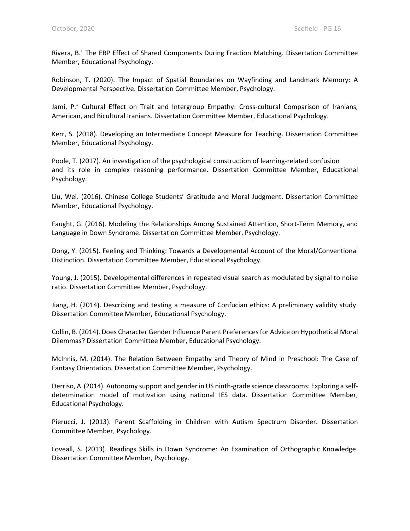Rivera, B.+ The ERP Effect of Shared Components During Fraction Matching. Dissertation Committee Member, Educational Psychology.

Robinson, T. (2020). The Impact of Spatial Boundaries on Wayfinding and Landmark Memory: A Developmental Perspective. Dissertation Committee Member, Psychology.

Jami, P.<sup>+</sup> Cultural Effect on Trait and Intergroup Empathy: Cross-cultural Comparison of Iranians, American, and Bicultural Iranians. Dissertation Committee Member, Educational Psychology.

Kerr, S. (2018). Developing an Intermediate Concept Measure for Teaching. Dissertation Committee Member, Educational Psychology.

Poole, T. (2017). An investigation of the psychological construction of learning-related confusion and its role in complex reasoning performance. Dissertation Committee Member, Educational Psychology.

Liu, Wei. (2016). Chinese College Students' Gratitude and Moral Judgment. Dissertation Committee Member, Educational Psychology.

Faught, G. (2016). Modeling the Relationships Among Sustained Attention, Short-Term Memory, and Language in Down Syndrome. Dissertation Committee Member, Psychology.

Dong, Y. (2015). Feeling and Thinking: Towards a Developmental Account of the Moral/Conventional Distinction. Dissertation Committee Member, Educational Psychology.

Young, J. (2015). Developmental differences in repeated visual search as modulated by signal to noise ratio. Dissertation Committee Member, Psychology.

Jiang, H. (2014). Describing and testing a measure of Confucian ethics: A preliminary validity study. Dissertation Committee Member, Educational Psychology.

Collin, B. (2014). Does Character Gender Influence Parent Preferences for Advice on Hypothetical Moral Dilemmas? Dissertation Committee Member, Educational Psychology.

McInnis, M. (2014). The Relation Between Empathy and Theory of Mind in Preschool: The Case of Fantasy Orientation*.* Dissertation Committee Member, Psychology.

Derriso, A.(2014). Autonomy support and gender in US ninth-grade science classrooms: Exploring a selfdetermination model of motivation using national IES data. Dissertation Committee Member, Educational Psychology.

Pierucci, J. (2013). Parent Scaffolding in Children with Autism Spectrum Disorder. Dissertation Committee Member, Psychology.

Loveall, S. (2013). Readings Skills in Down Syndrome: An Examination of Orthographic Knowledge. Dissertation Committee Member, Psychology.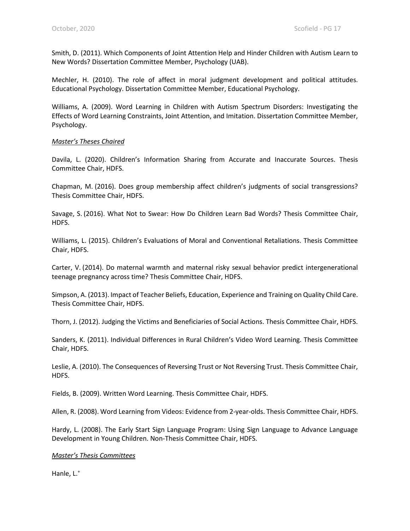Smith, D. (2011). Which Components of Joint Attention Help and Hinder Children with Autism Learn to New Words? Dissertation Committee Member, Psychology (UAB).

Mechler, H. (2010). The role of affect in moral judgment development and political attitudes. Educational Psychology. Dissertation Committee Member, Educational Psychology.

Williams, A. (2009). Word Learning in Children with Autism Spectrum Disorders: Investigating the Effects of Word Learning Constraints, Joint Attention, and Imitation. Dissertation Committee Member, Psychology.

#### *Master's Theses Chaired*

Davila, L. (2020). Children's Information Sharing from Accurate and Inaccurate Sources. Thesis Committee Chair, HDFS.

Chapman, M. (2016). Does group membership affect children's judgments of social transgressions? Thesis Committee Chair, HDFS.

Savage, S. (2016). What Not to Swear: How Do Children Learn Bad Words? Thesis Committee Chair, HDFS.

Williams, L. (2015). Children's Evaluations of Moral and Conventional Retaliations. Thesis Committee Chair, HDFS.

Carter, V. (2014). Do maternal warmth and maternal risky sexual behavior predict intergenerational teenage pregnancy across time? Thesis Committee Chair, HDFS.

Simpson, A. (2013). Impact of Teacher Beliefs, Education, Experience and Training on Quality Child Care. Thesis Committee Chair, HDFS.

Thorn, J. (2012). Judging the Victims and Beneficiaries of Social Actions. Thesis Committee Chair, HDFS.

Sanders, K. (2011). Individual Differences in Rural Children's Video Word Learning. Thesis Committee Chair, HDFS.

Leslie, A. (2010). The Consequences of Reversing Trust or Not Reversing Trust. Thesis Committee Chair, HDFS.

Fields, B. (2009). Written Word Learning. Thesis Committee Chair, HDFS.

Allen, R. (2008). Word Learning from Videos: Evidence from 2-year-olds. Thesis Committee Chair, HDFS.

Hardy, L. (2008). The Early Start Sign Language Program: Using Sign Language to Advance Language Development in Young Children. Non-Thesis Committee Chair, HDFS.

### *Master's Thesis Committees*

Hanle, L.+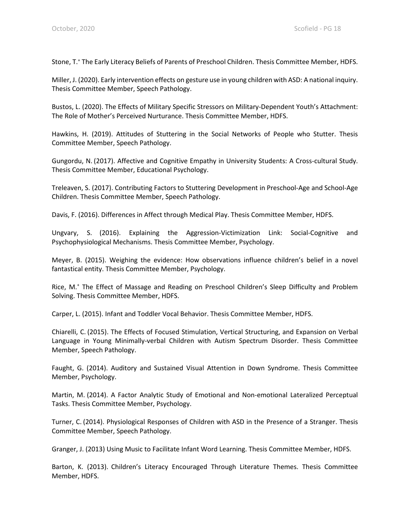Stone, T.+ The Early Literacy Beliefs of Parents of Preschool Children. Thesis Committee Member, HDFS.

Miller, J. (2020). Early intervention effects on gesture use in young children with ASD: A national inquiry. Thesis Committee Member, Speech Pathology.

Bustos, L. (2020). The Effects of Military Specific Stressors on Military-Dependent Youth's Attachment: The Role of Mother's Perceived Nurturance. Thesis Committee Member, HDFS.

Hawkins, H. (2019). Attitudes of Stuttering in the Social Networks of People who Stutter. Thesis Committee Member, Speech Pathology.

Gungordu, N. (2017). Affective and Cognitive Empathy in University Students: A Cross-cultural Study. Thesis Committee Member, Educational Psychology.

Treleaven, S. (2017). Contributing Factors to Stuttering Development in Preschool-Age and School-Age Children. Thesis Committee Member, Speech Pathology.

Davis, F. (2016). Differences in Affect through Medical Play. Thesis Committee Member, HDFS.

Ungvary, S. (2016). Explaining the Aggression-Victimization Link: Social-Cognitive and Psychophysiological Mechanisms. Thesis Committee Member, Psychology.

Meyer, B. (2015). Weighing the evidence: How observations influence children's belief in a novel fantastical entity. Thesis Committee Member, Psychology.

Rice, M.+ The Effect of Massage and Reading on Preschool Children's Sleep Difficulty and Problem Solving. Thesis Committee Member, HDFS.

Carper, L. (2015). Infant and Toddler Vocal Behavior. Thesis Committee Member, HDFS.

Chiarelli, C. (2015). The Effects of Focused Stimulation, Vertical Structuring, and Expansion on Verbal Language in Young Minimally-verbal Children with Autism Spectrum Disorder. Thesis Committee Member, Speech Pathology.

Faught, G. (2014). Auditory and Sustained Visual Attention in Down Syndrome. Thesis Committee Member, Psychology.

Martin, M. (2014). A Factor Analytic Study of Emotional and Non-emotional Lateralized Perceptual Tasks. Thesis Committee Member, Psychology.

Turner, C. (2014). Physiological Responses of Children with ASD in the Presence of a Stranger. Thesis Committee Member, Speech Pathology.

Granger, J. (2013) Using Music to Facilitate Infant Word Learning. Thesis Committee Member, HDFS.

Barton, K. (2013). Children's Literacy Encouraged Through Literature Themes. Thesis Committee Member, HDFS.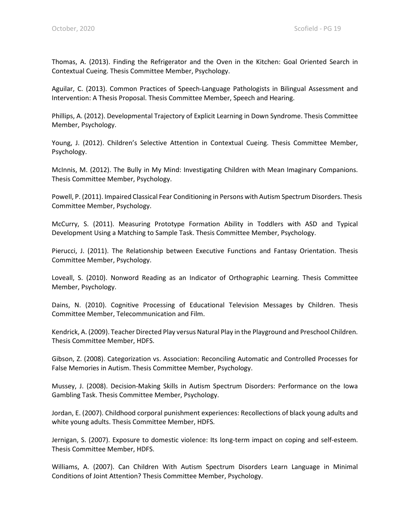Thomas, A. (2013). Finding the Refrigerator and the Oven in the Kitchen: Goal Oriented Search in Contextual Cueing. Thesis Committee Member, Psychology.

Aguilar, C. (2013). Common Practices of Speech-Language Pathologists in Bilingual Assessment and Intervention: A Thesis Proposal. Thesis Committee Member, Speech and Hearing.

Phillips, A. (2012). Developmental Trajectory of Explicit Learning in Down Syndrome. Thesis Committee Member, Psychology.

Young, J. (2012). Children's Selective Attention in Contextual Cueing. Thesis Committee Member, Psychology.

McInnis, M. (2012). The Bully in My Mind: Investigating Children with Mean Imaginary Companions. Thesis Committee Member, Psychology.

Powell, P. (2011). Impaired Classical Fear Conditioning in Persons with Autism Spectrum Disorders. Thesis Committee Member, Psychology.

McCurry, S. (2011). Measuring Prototype Formation Ability in Toddlers with ASD and Typical Development Using a Matching to Sample Task. Thesis Committee Member, Psychology.

Pierucci, J. (2011). The Relationship between Executive Functions and Fantasy Orientation. Thesis Committee Member, Psychology.

Loveall, S. (2010). Nonword Reading as an Indicator of Orthographic Learning. Thesis Committee Member, Psychology.

Dains, N. (2010). Cognitive Processing of Educational Television Messages by Children. Thesis Committee Member, Telecommunication and Film.

Kendrick, A. (2009). Teacher Directed Play versus Natural Play in the Playground and Preschool Children. Thesis Committee Member, HDFS.

Gibson, Z. (2008). Categorization vs. Association: Reconciling Automatic and Controlled Processes for False Memories in Autism. Thesis Committee Member, Psychology.

Mussey, J. (2008). Decision-Making Skills in Autism Spectrum Disorders: Performance on the Iowa Gambling Task. Thesis Committee Member, Psychology.

Jordan, E. (2007). Childhood corporal punishment experiences: Recollections of black young adults and white young adults. Thesis Committee Member, HDFS.

Jernigan, S. (2007). Exposure to domestic violence: Its long-term impact on coping and self-esteem. Thesis Committee Member, HDFS.

Williams, A. (2007). Can Children With Autism Spectrum Disorders Learn Language in Minimal Conditions of Joint Attention? Thesis Committee Member, Psychology.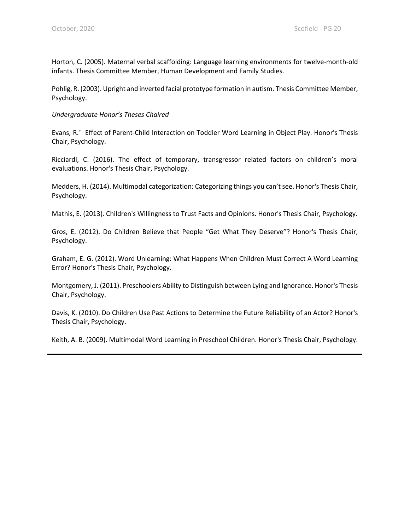Horton, C. (2005). Maternal verbal scaffolding: Language learning environments for twelve-month-old infants. Thesis Committee Member, Human Development and Family Studies.

Pohlig, R. (2003). Upright and inverted facial prototype formation in autism. Thesis Committee Member, Psychology.

#### *Undergraduate Honor's Theses Chaired*

Evans, R.<sup>+</sup> Effect of Parent-Child Interaction on Toddler Word Learning in Object Play. Honor's Thesis Chair, Psychology.

Ricciardi, C. (2016). The effect of temporary, transgressor related factors on children's moral evaluations. Honor's Thesis Chair, Psychology.

Medders, H. (2014). Multimodal categorization: Categorizing things you can't see. Honor's Thesis Chair, Psychology.

Mathis, E. (2013). Children's Willingness to Trust Facts and Opinions. Honor's Thesis Chair, Psychology.

Gros, E. (2012). Do Children Believe that People "Get What They Deserve"? Honor's Thesis Chair, Psychology.

Graham, E. G. (2012). Word Unlearning: What Happens When Children Must Correct A Word Learning Error? Honor's Thesis Chair, Psychology.

Montgomery, J. (2011). Preschoolers Ability to Distinguish between Lying and Ignorance. Honor's Thesis Chair, Psychology.

Davis, K. (2010). Do Children Use Past Actions to Determine the Future Reliability of an Actor? Honor's Thesis Chair, Psychology.

Keith, A. B. (2009). Multimodal Word Learning in Preschool Children. Honor's Thesis Chair, Psychology.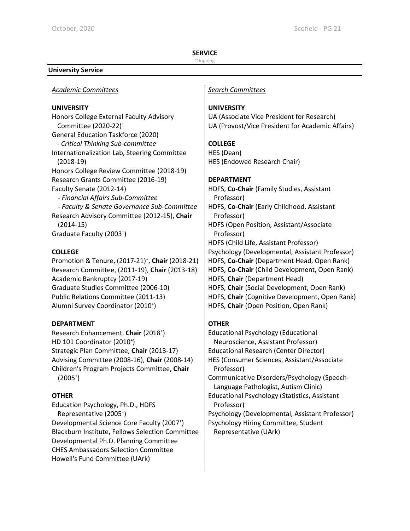#### **SERVICE**

#### +Ongoing

#### **University Service**

## *Academic Committees Search Committees*

#### **UNIVERSITY**

Honors College External Faculty Advisory Committee (2020-22)+ General Education Taskforce (2020) - *Critical Thinking Sub-committee* Internationalization Lab, Steering Committee (2018-19) Honors College Review Committee (2018-19) Research Grants Committee (2016-19) Faculty Senate (2012-14) *- Financial Affairs Sub-Committee - Faculty & Senate Governance Sub-Committee* Research Advisory Committee (2012-15), **Chair** (2014-15) Graduate Faculty (2003<sup>+</sup>)

## **COLLEGE**

Promotion & Tenure, (2017-21)+ , **Chair** (2018-21) Research Committee, (2011-19), **Chair** (2013-18) Academic Bankruptcy (2017-19) Graduate Studies Committee (2006-10) Public Relations Committee (2011-13) Alumni Survey Coordinator (2010<sup>+</sup>)

## **DEPARTMENT**

Research Enhancement, Chair (2018<sup>+</sup>) HD 101 Coordinator (2010<sup>+</sup>) Strategic Plan Committee, **Chair** (2013-17) Advising Committee (2008-16), **Chair** (2008-14) Children's Program Projects Committee, **Chair**  $(2005<sup>+</sup>)$ 

## **OTHER**

Education Psychology, Ph.D., HDFS Representative (2005<sup>+</sup>) Developmental Science Core Faculty (2007<sup>+</sup>) Blackburn Institute, Fellows Selection Committee Developmental Ph.D. Planning Committee CHES Ambassadors Selection Committee Howell's Fund Committee (UArk)

## **UNIVERSITY**

UA (Associate Vice President for Research) UA (Provost/Vice President for Academic Affairs)

## **COLLEGE**

HES (Dean) HES (Endowed Research Chair)

## **DEPARTMENT**

HDFS, **Co-Chair** (Family Studies, Assistant Professor) HDFS, **Co-Chair** (Early Childhood, Assistant Professor) HDFS (Open Position, Assistant/Associate Professor) HDFS (Child Life, Assistant Professor) Psychology (Developmental, Assistant Professor) HDFS, **Co-Chair** (Department Head, Open Rank) HDFS, **Co-Chair** (Child Development, Open Rank) HDFS, **Chair** (Department Head) HDFS, **Chair** (Social Development, Open Rank) HDFS, **Chair** (Cognitive Development, Open Rank) HDFS, **Chair** (Open Position, Open Rank)

## **OTHER**

Educational Psychology (Educational Neuroscience, Assistant Professor) Educational Research (Center Director) HES (Consumer Sciences, Assistant/Associate Professor) Communicative Disorders/Psychology (Speech-Language Pathologist, Autism Clinic) Educational Psychology (Statistics, Assistant Professor) Psychology (Developmental, Assistant Professor) Psychology Hiring Committee, Student Representative (UArk)